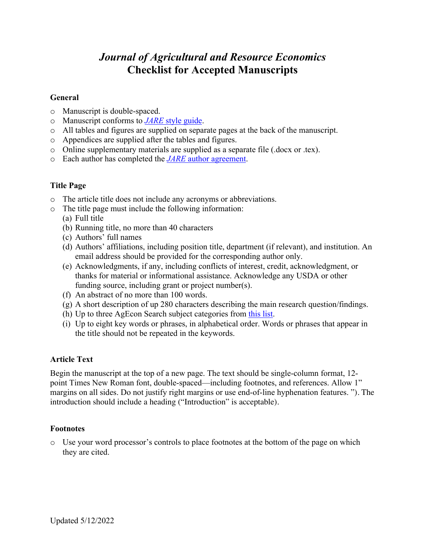# *Journal of Agricultural and Resource Economics* **Checklist for Accepted Manuscripts**

#### **General**

- o Manuscript is double-spaced.
- o Manuscript conforms to *JARE* style guide.
- o All tables and figures are supplied on separate pages at the back of the manuscript.
- o Appendices are supplied after the tables and figures.
- o Online supplementary materials are supplied as a separate file (.docx or .tex).
- o Each author has completed the *JARE* author agreement.

# **Title Page**

- o The article title does not include any acronyms or abbreviations.
- o The title page must include the following information:
	- (a) Full title
	- (b) Running title, no more than 40 characters
	- (c) Authors' full names
	- (d) Authors' affiliations, including position title, department (if relevant), and institution. An email address should be provided for the corresponding author only.
	- (e) Acknowledgments, if any, including conflicts of interest, credit, acknowledgment, or thanks for material or informational assistance. Acknowledge any USDA or other funding source, including grant or project number(s).
	- (f) An abstract of no more than 100 words.
	- (g) A short description of up 280 characters describing the main research question/findings.
	- (h) Up to three AgEcon Search subject categories from this list.
	- (i) Up to eight key words or phrases, in alphabetical order. Words or phrases that appear in the title should not be repeated in the keywords.

### **Article Text**

Begin the manuscript at the top of a new page. The text should be single-column format, 12 point Times New Roman font, double-spaced—including footnotes, and references. Allow 1" margins on all sides. Do not justify right margins or use end-of-line hyphenation features. "). The introduction should include a heading ("Introduction" is acceptable).

### **Footnotes**

o Use your word processor's controls to place footnotes at the bottom of the page on which they are cited.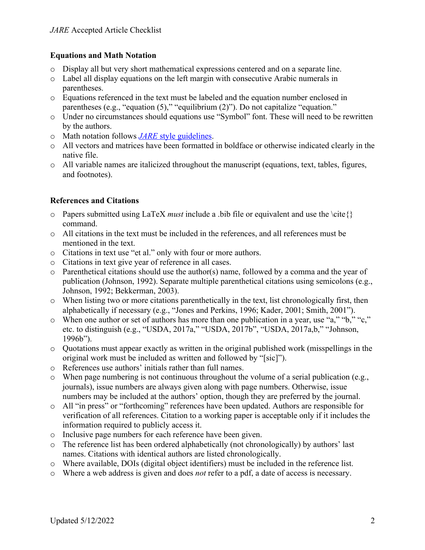# **Equations and Math Notation**

- o Display all but very short mathematical expressions centered and on a separate line.
- $\circ$  Label all display equations on the left margin with consecutive Arabic numerals in parentheses.
- o Equations referenced in the text must be labeled and the equation number enclosed in parentheses (e.g., "equation (5)," "equilibrium (2)"). Do not capitalize "equation."
- o Under no circumstances should equations use "Symbol" font. These will need to be rewritten by the authors.
- o Math notation follows *JARE* style guidelines.
- o All vectors and matrices have been formatted in boldface or otherwise indicated clearly in the native file.
- o All variable names are italicized throughout the manuscript (equations, text, tables, figures, and footnotes).

# **References and Citations**

- o Papers submitted using LaTeX *must* include a .bib file or equivalent and use the \cite{} command.
- o All citations in the text must be included in the references, and all references must be mentioned in the text.
- o Citations in text use "et al." only with four or more authors.
- o Citations in text give year of reference in all cases.
- o Parenthetical citations should use the author(s) name, followed by a comma and the year of publication (Johnson, 1992). Separate multiple parenthetical citations using semicolons (e.g., Johnson, 1992; Bekkerman, 2003).
- $\circ$  When listing two or more citations parenthetically in the text, list chronologically first, then alphabetically if necessary (e.g., "Jones and Perkins, 1996; Kader, 2001; Smith, 2001").
- o When one author or set of authors has more than one publication in a year, use "a," "b," "c," etc. to distinguish (e.g., "USDA, 2017a," "USDA, 2017b", "USDA, 2017a,b," "Johnson, 1996b").
- $\circ$  Quotations must appear exactly as written in the original published work (misspellings in the original work must be included as written and followed by "[sic]").
- o References use authors' initials rather than full names.
- $\circ$  When page numbering is not continuous throughout the volume of a serial publication (e.g., journals), issue numbers are always given along with page numbers. Otherwise, issue numbers may be included at the authors' option, though they are preferred by the journal.
- o All "in press" or "forthcoming" references have been updated. Authors are responsible for verification of all references. Citation to a working paper is acceptable only if it includes the information required to publicly access it.
- o Inclusive page numbers for each reference have been given.
- o The reference list has been ordered alphabetically (not chronologically) by authors' last names. Citations with identical authors are listed chronologically.
- o Where available, DOIs (digital object identifiers) must be included in the reference list.
- o Where a web address is given and does *not* refer to a pdf, a date of access is necessary.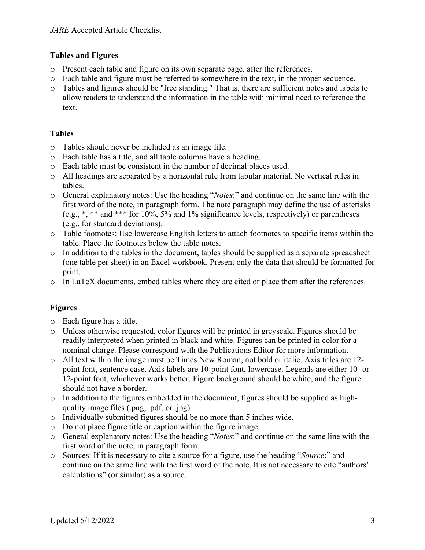# **Tables and Figures**

- o Present each table and figure on its own separate page, after the references.
- o Each table and figure must be referred to somewhere in the text, in the proper sequence.
- o Tables and figures should be "free standing." That is, there are sufficient notes and labels to allow readers to understand the information in the table with minimal need to reference the text.

# **Tables**

- o Tables should never be included as an image file.
- o Each table has a title, and all table columns have a heading.
- o Each table must be consistent in the number of decimal places used.
- o All headings are separated by a horizontal rule from tabular material. No vertical rules in tables.
- o General explanatory notes: Use the heading "*Notes*:" and continue on the same line with the first word of the note, in paragraph form. The note paragraph may define the use of asterisks (e.g., \*, \*\* and \*\*\* for 10%, 5% and 1% significance levels, respectively) or parentheses (e.g., for standard deviations).
- o Table footnotes: Use lowercase English letters to attach footnotes to specific items within the table. Place the footnotes below the table notes.
- o In addition to the tables in the document, tables should be supplied as a separate spreadsheet (one table per sheet) in an Excel workbook. Present only the data that should be formatted for print.
- o In LaTeX documents, embed tables where they are cited or place them after the references.

# **Figures**

- o Each figure has a title.
- o Unless otherwise requested, color figures will be printed in greyscale. Figures should be readily interpreted when printed in black and white. Figures can be printed in color for a nominal charge. Please correspond with the Publications Editor for more information.
- o All text within the image must be Times New Roman, not bold or italic. Axis titles are 12 point font, sentence case. Axis labels are 10-point font, lowercase. Legends are either 10- or 12-point font, whichever works better. Figure background should be white, and the figure should not have a border.
- o In addition to the figures embedded in the document, figures should be supplied as highquality image files (.png, .pdf, or .jpg).
- o Individually submitted figures should be no more than 5 inches wide.
- o Do not place figure title or caption within the figure image.
- o General explanatory notes: Use the heading "*Notes*:" and continue on the same line with the first word of the note, in paragraph form.
- o Sources: If it is necessary to cite a source for a figure, use the heading "*Source*:" and continue on the same line with the first word of the note. It is not necessary to cite "authors' calculations" (or similar) as a source.